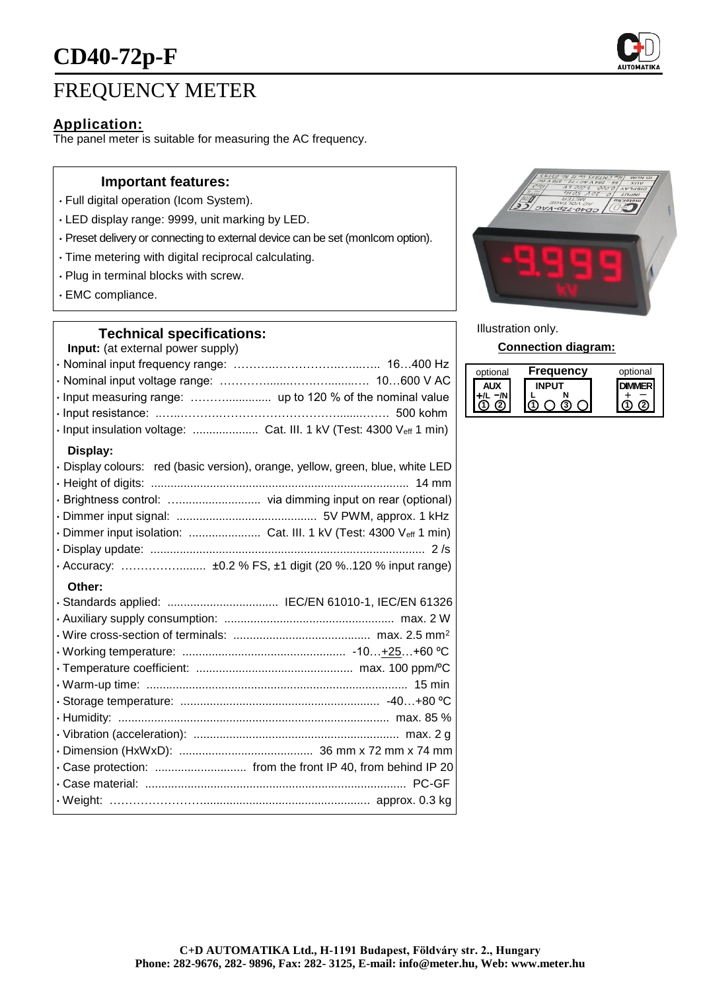

# FREQUENCY METER

## **Application:**

The panel meter is suitable for measuring the AC frequency.

#### **Important features:**

- Full digital operation (Icom System).
- LED display range: 9999, unit marking by LED.
- Preset delivery or connecting to external device can be set (monIcom option).
- Time metering with digital reciprocal calculating.
- Plug in terminal blocks with screw.
- EMC compliance.

### **Technical specifications:**

**Input:** (at external power supply)

| · Input measuring range:  up to 120 % of the nominal value                     |  |
|--------------------------------------------------------------------------------|--|
|                                                                                |  |
| · Input insulation voltage:  Cat. III. 1 kV (Test: 4300 Veff 1 min)            |  |
| Display:                                                                       |  |
| · Display colours: red (basic version), orange, yellow, green, blue, white LED |  |
|                                                                                |  |
|                                                                                |  |
|                                                                                |  |

#### **Other:**

|  | · Standards applied:  IEC/EN 61010-1, IEC/EN 61326 |
|--|----------------------------------------------------|
|  |                                                    |
|  |                                                    |
|  |                                                    |
|  |                                                    |
|  |                                                    |
|  |                                                    |
|  |                                                    |
|  |                                                    |
|  |                                                    |
|  |                                                    |
|  |                                                    |
|  |                                                    |
|  |                                                    |



Illustration only.

**Connection diagram:**

| optional | <b>Frequency</b> | optional |
|----------|------------------|----------|
|          |                  |          |